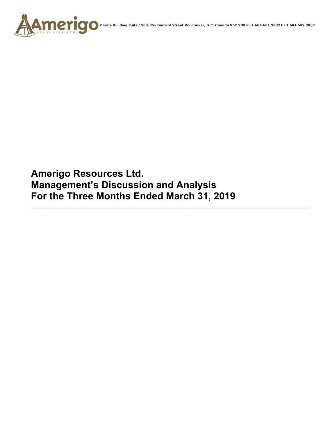

**Amerigo Resources Ltd. Management's Discussion and Analysis For the Three Months Ended March 31, 2019** 

**\_\_\_\_\_\_\_\_\_\_\_\_\_\_\_\_\_\_\_\_\_\_\_\_\_\_\_\_\_\_\_\_\_\_\_\_\_\_\_\_\_\_\_\_\_\_\_\_\_\_\_\_\_\_\_\_\_\_\_\_\_\_\_\_\_\_\_\_\_\_\_\_\_\_\_\_\_\_\_\_\_\_\_\_**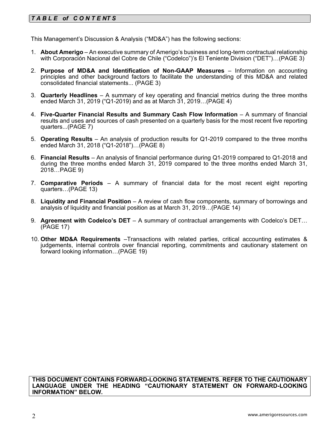# *T A B L E of C O N T E NT S*

This Management's Discussion & Analysis ("MD&A") has the following sections:

- 1. **About Amerigo**  An executive summary of Amerigo's business and long-term contractual relationship with Corporación Nacional del Cobre de Chile ("Codelco")'s El Teniente Division ("DET")…(PAGE 3)
- 2. **Purpose of MD&A and Identification of Non-GAAP Measures**  Information on accounting principles and other background factors to facilitate the understanding of this MD&A and related consolidated financial statements... (PAGE 3)
- 3. **Quarterly Headlines** A summary of key operating and financial metrics during the three months ended March 31, 2019 ("Q1-2019) and as at March 31, 2019…(PAGE 4)
- 4. **Five-Quarter Financial Results and Summary Cash Flow Information**  A summary of financial results and uses and sources of cash presented on a quarterly basis for the most recent five reporting quarters...(PAGE 7)
- 5. **Operating Results** An analysis of production results for Q1-2019 compared to the three months ended March 31, 2018 ("Q1-2018")…(PAGE 8)
- 6. **Financial Results**  An analysis of financial performance during Q1-2019 compared to Q1-2018 and during the three months ended March 31, 2019 compared to the three months ended March 31, 2018…PAGE 9)
- 7. **Comparative Periods** A summary of financial data for the most recent eight reporting quarters…(PAGE 13)
- 8. **Liquidity and Financial Position** A review of cash flow components, summary of borrowings and analysis of liquidity and financial position as at March 31, 2019…(PAGE 14)
- 9. **Agreement with Codelco's DET** A summary of contractual arrangements with Codelco's DET… (PAGE 17)
- 10. **Other MD&A Requirements** –Transactions with related parties, critical accounting estimates & judgements, internal controls over financial reporting, commitments and cautionary statement on forward looking information…(PAGE 19)

**THIS DOCUMENT CONTAINS FORWARD-LOOKING STATEMENTS. REFER TO THE CAUTIONARY LANGUAGE UNDER THE HEADING "CAUTIONARY STATEMENT ON FORWARD-LOOKING INFORMATION" BELOW.**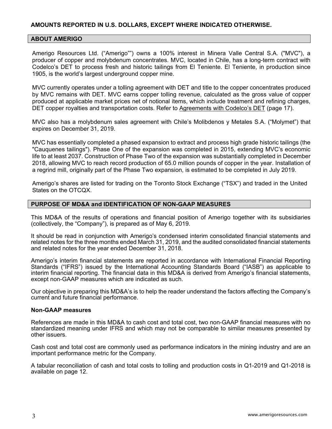# **AMOUNTS REPORTED IN U.S. DOLLARS, EXCEPT WHERE INDICATED OTHERWISE.**

#### **ABOUT AMERIGO**

Amerigo Resources Ltd. ("Amerigo"") owns a 100% interest in Minera Valle Central S.A. ("MVC"), a producer of copper and molybdenum concentrates. MVC, located in Chile, has a long-term contract with Codelco's DET to process fresh and historic tailings from El Teniente. El Teniente, in production since 1905, is the world's largest underground copper mine.

MVC currently operates under a tolling agreement with DET and title to the copper concentrates produced by MVC remains with DET. MVC earns copper tolling revenue, calculated as the gross value of copper produced at applicable market prices net of notional items, which include treatment and refining charges, DET copper royalties and transportation costs. Refer to Agreements with Codelco's DET (page 17).

MVC also has a molybdenum sales agreement with Chile's Molibdenos y Metales S.A. ("Molymet") that expires on December 31, 2019.

MVC has essentially completed a phased expansion to extract and process high grade historic tailings (the "Cauquenes tailings"). Phase One of the expansion was completed in 2015, extending MVC's economic life to at least 2037. Construction of Phase Two of the expansion was substantially completed in December 2018, allowing MVC to reach record production of 65.0 million pounds of copper in the year. Installation of a regrind mill, originally part of the Phase Two expansion, is estimated to be completed in July 2019.

Amerigo's shares are listed for trading on the Toronto Stock Exchange ("TSX") and traded in the United States on the OTCQX.

#### **PURPOSE OF MD&A and IDENTIFICATION OF NON-GAAP MEASURES**

This MD&A of the results of operations and financial position of Amerigo together with its subsidiaries (collectively, the "Company"), is prepared as of May 6, 2019.

It should be read in conjunction with Amerigo's condensed interim consolidated financial statements and related notes for the three months ended March 31, 2019, and the audited consolidated financial statements and related notes for the year ended December 31, 2018.

Amerigo's interim financial statements are reported in accordance with International Financial Reporting Standards ("IFRS") issued by the International Accounting Standards Board ("IASB") as applicable to interim financial reporting. The financial data in this MD&A is derived from Amerigo's financial statements, except non-GAAP measures which are indicated as such.

Our objective in preparing this MD&A's is to help the reader understand the factors affecting the Company's current and future financial performance.

# **Non-GAAP measures**

References are made in this MD&A to cash cost and total cost, two non-GAAP financial measures with no standardized meaning under IFRS and which may not be comparable to similar measures presented by other issuers.

Cash cost and total cost are commonly used as performance indicators in the mining industry and are an important performance metric for the Company.

A tabular reconciliation of cash and total costs to tolling and production costs in Q1-2019 and Q1-2018 is available on page 12.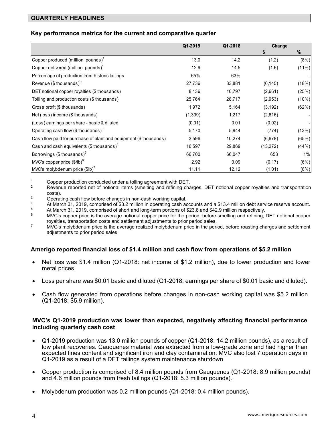## **QUARTERLY HEADLINES**

## **Key performance metrics for the current and comparative quarter**

|                                                                   | Q1-2019 | Q1-2018 |           | Change |  |
|-------------------------------------------------------------------|---------|---------|-----------|--------|--|
|                                                                   |         |         | \$        | %      |  |
| Copper produced (million pounds) $^1$                             | 13.0    | 14.2    | (1.2)     | (8%)   |  |
| Copper delivered (million pounds) $^1$                            | 12.9    | 14.5    | (1.6)     | (11%)  |  |
| Percentage of production from historic tailings                   | 65%     | 63%     |           |        |  |
| Revenue (\$ thousands) <sup>2</sup>                               | 27,736  | 33,881  | (6, 145)  | (18%)  |  |
| DET notional copper royalties (\$ thousands)                      | 8,136   | 10,797  | (2,661)   | (25%)  |  |
| Tolling and production costs (\$ thousands)                       | 25,764  | 28,717  | (2,953)   | (10%)  |  |
| Gross profit (\$ thousands)                                       | 1,972   | 5,164   | (3, 192)  | (62%)  |  |
| Net (loss) income (\$ thousands)                                  | (1,399) | 1,217   | (2,616)   |        |  |
| (Loss) earnings per share - basic & diluted                       | (0.01)  | 0.01    | (0.02)    |        |  |
| Operating cash flow (\$ thousands) $3$                            | 5,170   | 5,944   | (774)     | (13%)  |  |
| Cash flow paid for purchase of plant and equipment (\$ thousands) | 3,596   | 10,274  | (6,678)   | (65%)  |  |
| Cash and cash equivalents (\$ thousands) <sup>4</sup>             | 16,597  | 29,869  | (13, 272) | (44%)  |  |
| Borrowings (\$ thousands) $5$                                     | 66,700  | 66,047  | 653       | $1\%$  |  |
| $MVC's copper price ($/lb)^6$                                     | 2.92    | 3.09    | (0.17)    | (6%)   |  |
| $M/C's$ molybdenum price $$I\text{lb}$ <sup>7</sup>               | 11.11   | 12.12   | (1.01)    | (8%)   |  |

1 Copper production conducted under a tolling agreement with DET.<br>2 Boyanus reported not of potional items (emalting and refining cha

Revenue reported net of notional items (smelting and refining charges, DET notional copper royalties and transportation

costs).<br><sup>3</sup> Operating cash flow before changes in non-cash working capital.<br>4 At March 31, 2019, comprised of \$3.2 million in operating cash accounts and a \$13.4 million debt service reserve account.<br>5 At March 31, 2019, c

 $^5$  At March 31, 2019, comprised of short and long-term portions of \$23.8 and \$42.9 million respectively.<br><sup>6</sup> MVC's copper price is the average notional copper price for the period, before smelting and refining, DET noti royalties, transportation costs and settlement adjustments to prior period sales.<br><sup>7</sup> MVC's molybdenum price is the average realized molybdenum price in the period, before roasting charges and settlement

adjustments to prior period sales

### **Amerigo reported financial loss of \$1.4 million and cash flow from operations of \$5.2 million**

- Net loss was \$1.4 million (Q1-2018: net income of \$1.2 million), due to lower production and lower metal prices.
- Loss per share was \$0.01 basic and diluted (Q1-2018: earnings per share of \$0.01 basic and diluted).
- Cash flow generated from operations before changes in non-cash working capital was \$5.2 million (Q1-2018: \$5.9 million).

### **MVC's Q1-2019 production was lower than expected, negatively affecting financial performance including quarterly cash cost**

- Q1-2019 production was 13.0 million pounds of copper (Q1-2018: 14.2 million pounds), as a result of low plant recoveries. Cauquenes material was extracted from a low-grade zone and had higher than expected fines content and significant iron and clay contamination. MVC also lost 7 operation days in Q1-2019 as a result of a DET tailings system maintenance shutdown.
- Copper production is comprised of 8.4 million pounds from Cauquenes (Q1-2018: 8.9 million pounds) and 4.6 million pounds from fresh tailings (Q1-2018: 5.3 million pounds).
- Molybdenum production was 0.2 million pounds (Q1-2018: 0.4 million pounds).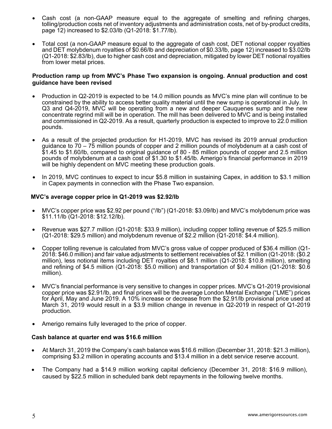- Cash cost (a non-GAAP measure equal to the aggregate of smelting and refining charges, tolling/production costs net of inventory adjustments and administration costs, net of by-product credits, page 12) increased to \$2.03/lb (Q1-2018: \$1.77/lb).
- Total cost (a non-GAAP measure equal to the aggregate of cash cost, DET notional copper royalties and DET molybdenum royalties of \$0.66/lb and depreciation of \$0.33/lb, page 12) increased to \$3.02/lb (Q1-2018: \$2.83/lb), due to higher cash cost and depreciation, mitigated by lower DET notional royalties from lower metal prices.

## **Production ramp up from MVC's Phase Two expansion is ongoing. Annual production and cost guidance have been revised**

- Production in Q2-2019 is expected to be 14.0 million pounds as MVC's mine plan will continue to be constrained by the ability to access better quality material until the new sump is operational in July. In Q3 and Q4-2019, MVC will be operating from a new and deeper Cauquenes sump and the new concentrate regrind mill will be in operation. The mill has been delivered to MVC and is being installed and commissioned in Q2-2019. As a result, quarterly production is expected to improve to 22.0 million pounds.
- As a result of the projected production for H1-2019, MVC has revised its 2019 annual production guidance to 70 – 75 million pounds of copper and 2 million pounds of molybdenum at a cash cost of \$1.45 to \$1.60/lb, compared to original guidance of 80 - 85 million pounds of copper and 2.5 million pounds of molybdenum at a cash cost of \$1.30 to \$1.45/lb. Amerigo's financial performance in 2019 will be highly dependent on MVC meeting these production goals.
- In 2019, MVC continues to expect to incur \$5.8 million in sustaining Capex, in addition to \$3.1 million in Capex payments in connection with the Phase Two expansion.

# **MVC's average copper price in Q1-2019 was \$2.92/lb**

- MVC's copper price was \$2.92 per pound ("/lb") (Q1-2018: \$3.09/lb) and MVC's molybdenum price was \$11.11/lb (Q1-2018: \$12.12/lb).
- Revenue was \$27.7 million (Q1-2018: \$33.9 million), including copper tolling revenue of \$25.5 million (Q1-2018: \$29.5 million) and molybdenum revenue of \$2.2 million (Q1-2018: \$4.4 million).
- Copper tolling revenue is calculated from MVC's gross value of copper produced of \$36.4 million (Q1- 2018: \$46.0 million) and fair value adjustments to settlement receivables of \$2.1 million (Q1-2018: (\$0.2 million), less notional items including DET royalties of \$8.1 million (Q1-2018: \$10.8 million), smelting and refining of \$4.5 million (Q1-2018: \$5.0 million) and transportation of \$0.4 million (Q1-2018: \$0.6 million).
- MVC's financial performance is very sensitive to changes in copper prices. MVC's Q1-2019 provisional copper price was \$2.91/lb, and final prices will be the average London Mental Exchange ("LME") prices for April, May and June 2019. A 10% increase or decrease from the \$2.91/lb provisional price used at March 31, 2019 would result in a \$3.9 million change in revenue in Q2-2019 in respect of Q1-2019 production.
- Amerigo remains fully leveraged to the price of copper.

### **Cash balance at quarter end was \$16.6 million**

- At March 31, 2019 the Company's cash balance was \$16.6 million (December 31, 2018: \$21.3 million), comprising \$3.2 million in operating accounts and \$13.4 million in a debt service reserve account.
- The Company had a \$14.9 million working capital deficiency (December 31, 2018: \$16.9 million), caused by \$22.5 million in scheduled bank debt repayments in the following twelve months.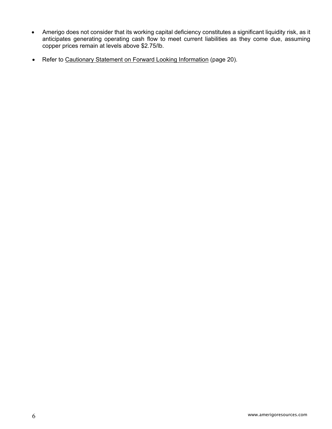- Amerigo does not consider that its working capital deficiency constitutes a significant liquidity risk, as it anticipates generating operating cash flow to meet current liabilities as they come due, assuming copper prices remain at levels above \$2.75/lb.
- Refer to Cautionary Statement on Forward Looking Information (page 20).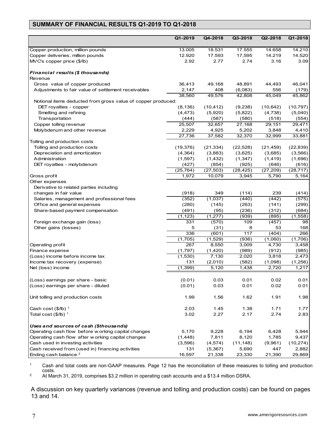# **SUMMARY OF FINANCIAL RESULTS Q1-2019 TO Q1-2018**

|                                                              | Q1-2019   | Q4-2018   | Q3-2018   | Q2-2018   | $\overline{Q1-2018}$ |
|--------------------------------------------------------------|-----------|-----------|-----------|-----------|----------------------|
| Copper production, million pounds                            | 13.005    | 18.531    | 17.555    | 14.658    | 14.210               |
| Copper deliveries, million pounds                            | 12.920    | 17.593    | 17,595    | 14.219    | 14.520               |
| MVC's copper price (\$/lb)                                   | 2.92      | 2.77      | 2.74      | 3.16      | 3.09                 |
| Financial results (\$ thousands)                             |           |           |           |           |                      |
| Revenue                                                      |           |           |           |           |                      |
| Gross value of copper produced                               | 36,413    | 49,168    | 48,891    | 44,493    | 46,041               |
| Adjustments to fair value of settlement receivables          | 2,147     | 408       | (6,083)   | 556       | (179)                |
|                                                              | 38,560    | 49,576    | 42,808    | 45,049    | 45,862               |
| Notional items deducted from gross value of copper produced: |           |           |           |           |                      |
| DET royalties - copper                                       | (8, 136)  | (10, 412) | (9,238)   | (10, 642) | (10, 797)            |
| Smelting and refining                                        | (4, 473)  | (5,920)   | (5,822)   | (4,738)   | (5,040)              |
| Transportation                                               | (444)     | (587)     | (580)     | (518)     | (554)                |
| Copper tolling revenue                                       | 25,507    | 32,657    | 27, 168   | 29,151    | 29,471               |
| Molybdenum and other revenue                                 | 2,229     | 4,925     | 5,202     | 3,848     | 4,410                |
|                                                              | 27,736    | 37,582    | 32,370    | 32,999    | 33,881               |
| Tolling and production costs                                 |           |           |           |           |                      |
| Tolling and production costs                                 | (19, 376) | (21, 334) | (22, 528) | (21, 459) | (22, 839)            |
| Depreciation and amortization                                | (4, 364)  | (3,883)   | (3,625)   | (3,685)   | (3, 566)             |
| Administration                                               | (1, 597)  | (1, 432)  | (1, 347)  | (1, 419)  | (1,696)              |
| DET royalties - molybdenum                                   | (427)     | (854)     | (925)     | (646)     | (616)                |
|                                                              | (25, 764) | (27, 503) | (28, 425) | (27, 209) | (28, 717)            |
| Gross profit                                                 | 1,972     | 10,079    | 3,945     | 5,790     | 5,164                |
| Other expenses                                               |           |           |           |           |                      |
| Derivative to related parties including                      |           |           |           |           |                      |
| changes in fair value                                        | (918)     | 349       | (114)     | 239       | (414)                |
| Salaries, management and professional fees                   | (352)     | (1,037)   | (440)     | (442)     | (575)                |
| Office and general expenses                                  | (280)     | (145)     | (263)     | (141)     | (299)                |
| Share-based payment compensation                             | (491)     | (95)      | (236)     | (312)     | (684)                |
|                                                              | (1, 123)  | (1, 277)  | (939)     | (895)     | (1, 558)             |
| Foreign exchange gain (loss)                                 | 331       | (570)     | 109       | (457)     | 98                   |
| Other gains (losses)                                         | 5         | (31)      | 8         | 53        | 168                  |
|                                                              | 336       | (601)     | 117       | (404)     | 266                  |
|                                                              | (1,705)   | (1,529)   | (936)     | (1,060)   | (1,706)              |
| Operating profit                                             | 267       | 8,550     | 3,009     | 4,730     | 3,458                |
| Finance expense                                              | (1,797)   | (1,420)   | (989)     | (912)     | (985)                |
| (Loss) income before income tax                              | (1,530)   | 7,130     | 2,020     | 3,818     | 2,473                |
| Income tax recovery (expense)                                | 131       | (2,010)   | (582)     | (1,098)   | (1,256)              |
| Net (loss) income                                            | (1, 399)  | 5,120     | 1,438     | 2,720     | 1,217                |
|                                                              |           |           |           |           |                      |
| (Loss) earnings per share - basic                            | (0.01)    | 0.03      | 0.01      | 0.02      | 0.01                 |
| (Loss) earnings per share - diluted                          | (0.01)    | 0.03      | 0.01      | 0.02      | 0.01                 |
| Unit tolling and production costs                            | 1.99      | 1.56      | 1.62      | 1.91      | 1.98                 |
| Cash cost $(\$/IB)^1$                                        | 2.03      | 1.45      | 1.38      | 1.71      | 1.77                 |
| Total cost $(\$/IB)^{-1}$                                    | 3.02      | 2.27      | 2.17      | 2.74      | 2.83                 |
| Uses and sources of cash (\$thousands)                       |           |           |           |           |                      |
| Operating cash flow before w orking capital changes          | 5,170     | 9,228     | 6,194     | 6,428     | 5,944                |
| Operating cash flow after w orking capital changes           | (1, 448)  | 7,811     | 8,120     | 1,785     | 9,437                |
| Cash used in investing activities                            | (3,596)   | (4, 574)  | (11, 148) | (9,961)   | (10, 274)            |
| Cash received from (used in) financing activities            | 131       | (5,367)   | 5,690     | 447       | 2,882                |
| Ending cash balance <sup>2</sup>                             | 16,597    | 21,338    | 23,330    | 21,390    | 29,869               |

<sup>1</sup> Cash and total costs are non-GAAP measures. Page 12 has the reconciliation of these measures to tolling and production<br>costs.

2 At March 31, 2019, comprises \$3.2 million in operating cash accounts and a \$13.4 million DSRA.

A discussion on key quarterly variances (revenue and tolling and production costs) can be found on pages 13 and 14.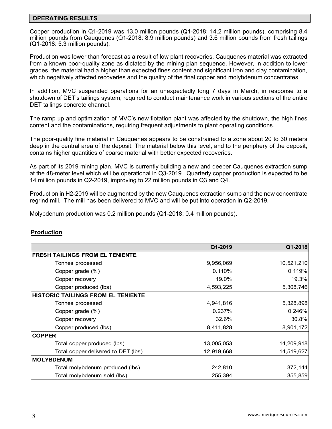## **OPERATING RESULTS**

Copper production in Q1-2019 was 13.0 million pounds (Q1-2018: 14.2 million pounds), comprising 8.4 million pounds from Cauquenes (Q1-2018: 8.9 million pounds) and 3.6 million pounds from fresh tailings (Q1-2018: 5.3 million pounds).

Production was lower than forecast as a result of low plant recoveries. Cauquenes material was extracted from a known poor-quality zone as dictated by the mining plan sequence. However, in addition to lower grades, the material had a higher than expected fines content and significant iron and clay contamination, which negatively affected recoveries and the quality of the final copper and molybdenum concentrates.

In addition, MVC suspended operations for an unexpectedly long 7 days in March, in response to a shutdown of DET's tailings system, required to conduct maintenance work in various sections of the entire DET tailings concrete channel.

The ramp up and optimization of MVC's new flotation plant was affected by the shutdown, the high fines content and the contaminations, requiring frequent adjustments to plant operating conditions.

The poor-quality fine material in Cauquenes appears to be constrained to a zone about 20 to 30 meters deep in the central area of the deposit. The material below this level, and to the periphery of the deposit, contains higher quantities of coarse material with better expected recoveries.

As part of its 2019 mining plan, MVC is currently building a new and deeper Cauquenes extraction sump at the 48-meter level which will be operational in Q3-2019. Quarterly copper production is expected to be 14 million pounds in Q2-2019, improving to 22 million pounds in Q3 and Q4.

Production in H2-2019 will be augmented by the new Cauquenes extraction sump and the new concentrate regrind mill. The mill has been delivered to MVC and will be put into operation in Q2-2019.

Molybdenum production was 0.2 million pounds (Q1-2018: 0.4 million pounds).

|                                           | Q1-2019    | Q1-2018    |
|-------------------------------------------|------------|------------|
| <b>FRESH TAILINGS FROM EL TENIENTE</b>    |            |            |
| Tonnes processed                          | 9,956,069  | 10,521,210 |
| Copper grade (%)                          | 0.110%     | 0.119%     |
| Copper recovery                           | 19.0%      | 19.3%      |
| Copper produced (lbs)                     | 4,593,225  | 5,308,746  |
| <b>HISTORIC TAILINGS FROM EL TENIENTE</b> |            |            |
| Tonnes processed                          | 4,941,816  | 5,328,898  |
| Copper grade (%)                          | 0.237%     | 0.246%     |
| Copper recovery                           | 32.6%      | 30.8%      |
| Copper produced (lbs)                     | 8,411,828  | 8,901,172  |
| <b>COPPER</b>                             |            |            |
| Total copper produced (lbs)               | 13,005,053 | 14,209,918 |
| Total copper delivered to DET (lbs)       | 12,919,668 | 14,519,627 |
| MOLYBDENUM                                |            |            |
| Total molybdenum produced (lbs)           | 242,810    | 372,144    |
| Total molybdenum sold (lbs)               | 255,394    | 355,859    |

# **Production**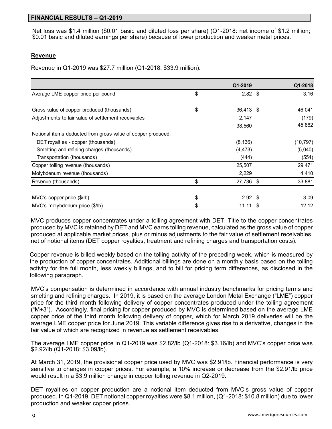# **FINANCIAL RESULTS – Q1-2019**

Net loss was \$1.4 million (\$0.01 basic and diluted loss per share) (Q1-2018: net income of \$1.2 million; \$0.01 basic and diluted earnings per share) because of lower production and weaker metal prices.

# **Revenue**

Revenue in Q1-2019 was \$27.7 million (Q1-2018: \$33.9 million).

|                                                              | Q1-2019         | Q1-2018   |
|--------------------------------------------------------------|-----------------|-----------|
| Average LME copper price per pound                           | \$<br>$2.82$ \$ | 3.16      |
|                                                              |                 |           |
| Gross value of copper produced (thousands)                   | \$<br>36,413 \$ | 46,041    |
| Adjustments to fair value of settlement receivables          | 2,147           | (179)     |
|                                                              | 38,560          | 45,862    |
| Notional items deducted from gross value of copper produced: |                 |           |
| DET royalties - copper (thousands)                           | (8, 136)        | (10, 797) |
| Smelting and refining charges (thousands)                    | (4, 473)        | (5,040)   |
| Transportation (thousands)                                   | (444)           | (554)     |
| Copper tolling revenue (thousands)                           | 25,507          | 29,471    |
| Molybdenum revenue (thousands)                               | 2,229           | 4,410     |
| Revenue (thousands)                                          | \$<br>27,736 \$ | 33,881    |
| MVC's copper price (\$/lb)                                   | \$<br>$2.92$ \$ | 3.09      |
| MVC's molybdenum price (\$/lb)                               | 11.11S          | 12.12     |

MVC produces copper concentrates under a tolling agreement with DET. Title to the copper concentrates produced by MVC is retained by DET and MVC earns tolling revenue, calculated as the gross value of copper produced at applicable market prices, plus or minus adjustments to the fair value of settlement receivables, net of notional items (DET copper royalties, treatment and refining charges and transportation costs).

Copper revenue is billed weekly based on the tolling activity of the preceding week, which is measured by the production of copper concentrates. Additional billings are done on a monthly basis based on the tolling activity for the full month, less weekly billings, and to bill for pricing term differences, as disclosed in the following paragraph.

MVC's compensation is determined in accordance with annual industry benchmarks for pricing terms and smelting and refining charges. In 2019, it is based on the average London Metal Exchange ("LME") copper price for the third month following delivery of copper concentrates produced under the tolling agreement ("M+3"). Accordingly, final pricing for copper produced by MVC is determined based on the average LME copper price of the third month following delivery of copper, which for March 2019 deliveries will be the average LME copper price for June 2019. This variable difference gives rise to a derivative, changes in the fair value of which are recognized in revenue as settlement receivables.

The average LME copper price in Q1-2019 was \$2.82/lb (Q1-2018: \$3.16/lb) and MVC's copper price was \$2.92/lb (Q1-2018: \$3.09/lb).

At March 31, 2019, the provisional copper price used by MVC was \$2.91/lb. Financial performance is very sensitive to changes in copper prices. For example, a 10% increase or decrease from the \$2.91/lb price would result in a \$3.9 million change in copper tolling revenue in Q2-2019.

DET royalties on copper production are a notional item deducted from MVC's gross value of copper produced. In Q1-2019, DET notional copper royalties were \$8.1 million, (Q1-2018: \$10.8 million) due to lower production and weaker copper prices.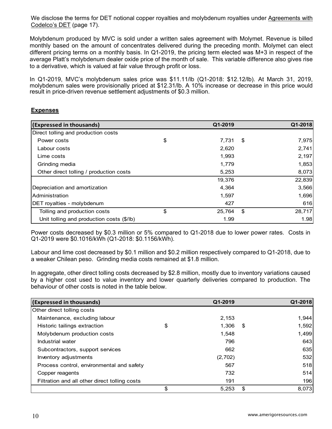We disclose the terms for DET notional copper royalties and molybdenum royalties under Agreements with Codelco's DET (page 17).

Molybdenum produced by MVC is sold under a written sales agreement with Molymet. Revenue is billed monthly based on the amount of concentrates delivered during the preceding month. Molymet can elect different pricing terms on a monthly basis. In Q1-2019, the pricing term elected was M+3 in respect of the average Platt's molybdenum dealer oxide price of the month of sale. This variable difference also gives rise to a derivative, which is valued at fair value through profit or loss.

In Q1-2019, MVC's molybdenum sales price was \$11.11/lb (Q1-2018: \$12.12/lb). At March 31, 2019, molybdenum sales were provisionally priced at \$12.31/lb. A 10% increase or decrease in this price would result in price-driven revenue settlement adjustments of \$0.3 million.

# **Expenses**

| (Expressed in thousands)                  | Q1-2019      | Q1-2018      |
|-------------------------------------------|--------------|--------------|
| Direct tolling and production costs       |              |              |
| Power costs                               | \$<br>7,731  | \$<br>7,975  |
| Labour costs                              | 2,620        | 2,741        |
| Lime costs                                | 1,993        | 2,197        |
| Grinding media                            | 1,779        | 1,853        |
| Other direct tolling / production costs   | 5,253        | 8,073        |
|                                           | 19,376       | 22,839       |
| Depreciation and amortization             | 4,364        | 3,566        |
| Administration                            | 1,597        | 1,696        |
| DET royalties - molybdenum                | 427          | 616          |
| Tolling and production costs              | \$<br>25,764 | \$<br>28,717 |
| Unit tolling and production costs (\$/lb) | 1.99         | 1.98         |

Power costs decreased by \$0.3 million or 5% compared to Q1-2018 due to lower power rates. Costs in Q1-2019 were \$0.1016/kWh (Q1-2018: \$0.1156/kWh).

Labour and lime cost decreased by \$0.1 million and \$0.2 million respectively compared to Q1-2018, due to a weaker Chilean peso. Grinding media costs remained at \$1.8 million.

In aggregate, other direct tolling costs decreased by \$2.8 million, mostly due to inventory variations caused by a higher cost used to value inventory and lower quarterly deliveries compared to production. The behaviour of other costs is noted in the table below.

| (Expressed in thousands)                      | Q1-2019     |     | Q1-2018 |
|-----------------------------------------------|-------------|-----|---------|
| Other direct tolling costs                    |             |     |         |
| Maintenance, excluding labour                 | 2,153       |     | 1.944   |
| Historic tailings extraction                  | \$<br>1,306 | -\$ | 1,592   |
| Molybdenum production costs                   | 1.548       |     | 1,499   |
| Industrial water                              | 796         |     | 643     |
| Subcontractors, support services              | 662         |     | 635     |
| Inventory adjustments                         | (2,702)     |     | 532     |
| Process control, environmental and safety     | 567         |     | 518     |
| Copper reagents                               | 732         |     | 514     |
| Filtration and all other direct tolling costs | 191         |     | 196     |
|                                               | \$<br>5.253 | \$  | 8,073   |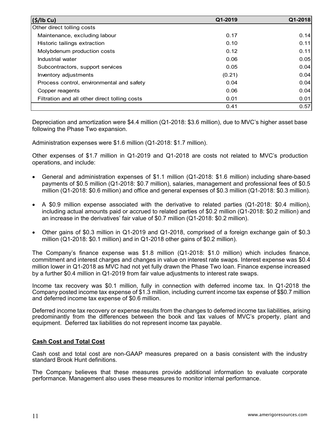| (S/lb Cu)                                     | Q1-2019 | Q1-2018 |
|-----------------------------------------------|---------|---------|
| Other direct tolling costs                    |         |         |
| Maintenance, excluding labour                 | 0.17    | 0.14    |
| Historic tailings extraction                  | 0.10    | 0.11    |
| Molybdenum production costs                   | 0.12    | 0.11    |
| Industrial water                              | 0.06    | 0.05    |
| Subcontractors, support services              | 0.05    | 0.04    |
| Inventory adjustments                         | (0.21)  | 0.04    |
| Process control, environmental and safety     | 0.04    | 0.04    |
| Copper reagents                               | 0.06    | 0.04    |
| Filtration and all other direct tolling costs | 0.01    | 0.01    |
|                                               | 0.41    | 0.57    |

Depreciation and amortization were \$4.4 million (Q1-2018: \$3.6 million), due to MVC's higher asset base following the Phase Two expansion.

Administration expenses were \$1.6 million (Q1-2018: \$1.7 million).

Other expenses of \$1.7 million in Q1-2019 and Q1-2018 are costs not related to MVC's production operations, and include:

- General and administration expenses of \$1.1 million (Q1-2018: \$1.6 million) including share-based payments of \$0.5 million (Q1-2018: \$0.7 million), salaries, management and professional fees of \$0.5 million (Q1-2018: \$0.6 million) and office and general expenses of \$0.3 million (Q1-2018: \$0.3 million).
- $\bullet$  A \$0.9 million expense associated with the derivative to related parties (Q1-2018: \$0.4 million), including actual amounts paid or accrued to related parties of \$0.2 million (Q1-2018: \$0.2 million) and an increase in the derivatives' fair value of \$0.7 million (Q1-2018: \$0.2 million).
- Other gains of \$0.3 million in Q1-2019 and Q1-2018, comprised of a foreign exchange gain of \$0.3 million (Q1-2018: \$0.1 million) and in Q1-2018 other gains of \$0.2 million).

The Company's finance expense was \$1.8 million (Q1-2018: \$1.0 million) which includes finance, commitment and interest charges and changes in value on interest rate swaps. Interest expense was \$0.4 million lower in Q1-2018 as MVC had not yet fully drawn the Phase Two loan. Finance expense increased by a further \$0.4 million in Q1-2019 from fair value adjustments to interest rate swaps.

Income tax recovery was \$0.1 million, fully in connection with deferred income tax. In Q1-2018 the Company posted income tax expense of \$1.3 million, including current income tax expense of \$\$0.7 million and deferred income tax expense of \$0.6 million.

Deferred income tax recovery or expense results from the changes to deferred income tax liabilities, arising predominantly from the differences between the book and tax values of MVC's property, plant and equipment. Deferred tax liabilities do not represent income tax payable.

# **Cash Cost and Total Cost**

Cash cost and total cost are non-GAAP measures prepared on a basis consistent with the industry standard Brook Hunt definitions.

The Company believes that these measures provide additional information to evaluate corporate performance. Management also uses these measures to monitor internal performance.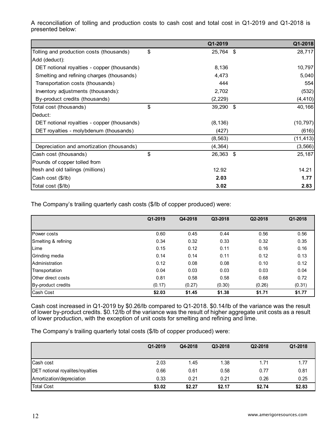A reconciliation of tolling and production costs to cash cost and total cost in Q1-2019 and Q1-2018 is presented below:

|                                             | Q1-2019         |     | Q1-2018   |
|---------------------------------------------|-----------------|-----|-----------|
| Tolling and production costs (thousands)    | \$<br>25,764 \$ |     | 28,717    |
| Add (deduct):                               |                 |     |           |
| DET notional royalties - copper (thousands) | 8,136           |     | 10,797    |
| Smelting and refining charges (thousands)   | 4,473           |     | 5,040     |
| Transportation costs (thousands)            | 444             |     | 554       |
| Inventory adjustments (thousands):          | 2,702           |     | (532)     |
| By-product credits (thousands)              | (2, 229)        |     | (4, 410)  |
| Total cost (thousands)                      | \$<br>39,290 \$ |     | 40,166    |
| Deduct:                                     |                 |     |           |
| DET notional royalties - copper (thousands) | (8, 136)        |     | (10, 797) |
| DET royalties - molybdenum (thousands)      | (427)           |     | (616)     |
|                                             | (8, 563)        |     | (11, 413) |
| Depreciation and amortization (thousands)   | (4, 364)        |     | (3, 566)  |
| Cash cost (thousands)                       | \$<br>26,363    | -\$ | 25,187    |
| Pounds of copper tolled from                |                 |     |           |
| fresh and old tailings (millions)           | 12.92           |     | 14.21     |
| Cash cost (\$/lb)                           | 2.03            |     | 1.77      |
| Total cost (\$/lb)                          | 3.02            |     | 2.83      |

The Company's trailing quarterly cash costs (\$/lb of copper produced) were:

|                     | Q1-2019 | Q4-2018 | Q3-2018 | Q2-2018 | Q1-2018 |
|---------------------|---------|---------|---------|---------|---------|
|                     |         |         |         |         |         |
| Power costs         | 0.60    | 0.45    | 0.44    | 0.56    | 0.56    |
| Smelting & refining | 0.34    | 0.32    | 0.33    | 0.32    | 0.35    |
| Lime                | 0.15    | 0.12    | 0.11    | 0.16    | 0.16    |
| Grinding media      | 0.14    | 0.14    | 0.11    | 0.12    | 0.13    |
| Administration      | 0.12    | 0.08    | 0.08    | 0.10    | 0.12    |
| Transportation      | 0.04    | 0.03    | 0.03    | 0.03    | 0.04    |
| Other direct costs  | 0.81    | 0.58    | 0.58    | 0.68    | 0.72    |
| By-product credits  | (0.17)  | (0.27)  | (0.30)  | (0.26)  | (0.31)  |
| Cash Cost           | \$2.03  | \$1.45  | \$1.38  | \$1.71  | \$1.77  |

Cash cost increased in Q1-2019 by \$0.26/lb compared to Q1-2018. \$0.14/lb of the variance was the result of lower by-product credits. \$0.12/lb of the variance was the result of higher aggregate unit costs as a result of lower production, with the exception of unit costs for smelting and refining and lime.

The Company's trailing quarterly total costs (\$/lb of copper produced) were:

|                                         | Q1-2019 | Q4-2018 | Q3-2018 | Q2-2018 | Q1-2018 |
|-----------------------------------------|---------|---------|---------|---------|---------|
| Cash cost                               | 2.03    | 1.45    | 1.38    | 1.71    | 1.77    |
| <b>DET</b> notional royalites/royalties | 0.66    | 0.61    | 0.58    | 0.77    | 0.81    |
| Amortization/depreciation               | 0.33    | 0.21    | 0.21    | 0.26    | 0.25    |
| Total Cost                              | \$3.02  | \$2.27  | \$2.17  | \$2.74  | \$2.83  |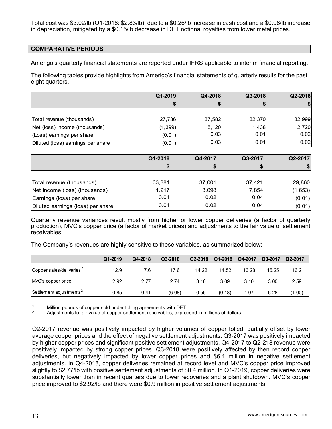Total cost was \$3.02/lb (Q1-2018: \$2.83/lb), due to a \$0.26/lb increase in cash cost and a \$0.08/lb increase in depreciation, mitigated by a \$0.15/lb decrease in DET notional royalties from lower metal prices.

# **COMPARATIVE PERIODS**

Amerigo's quarterly financial statements are reported under IFRS applicable to interim financial reporting.

The following tables provide highlights from Amerigo's financial statements of quarterly results for the past eight quarters.

|                                   | Q1-2019  | Q4-2018 | Q3-2018 | Q2-2018 |
|-----------------------------------|----------|---------|---------|---------|
|                                   |          |         |         |         |
|                                   |          |         |         |         |
| Total revenue (thousands)         | 27,736   | 37,582  | 32.370  | 32,999  |
| Net (loss) income (thousands)     | (1, 399) | 5,120   | 1,438   | 2,720   |
| (Loss) earnings per share         | (0.01)   | 0.03    | 0.01    | 0.02    |
| Diluted (loss) earnings per share | (0.01)   | 0.03    | 0.01    | 0.02    |

|                                   | Q1-2018 | Q4-2017 | Q3-2017 | Q2-2017 |
|-----------------------------------|---------|---------|---------|---------|
|                                   | \$      |         |         |         |
|                                   |         |         |         |         |
| Total revenue (thousands)         | 33,881  | 37,001  | 37.421  | 29,860  |
| Net income (loss) (thousands)     | 1.217   | 3,098   | 7,854   | (1,653) |
| Earnings (loss) per share         | 0.01    | 0.02    | 0.04    | (0.01)  |
| Diluted earnings (loss) per share | 0.01    | 0.02    | 0.04    | (0.01)  |

Quarterly revenue variances result mostly from higher or lower copper deliveries (a factor of quarterly production), MVC's copper price (a factor of market prices) and adjustments to the fair value of settlement receivables.

The Company's revenues are highly sensitive to these variables, as summarized below:

|                                     | Q1-2019 | Q4-2018 | Q3-2018 | Q2-2018 | Q1-2018 | Q4-2017 | Q3-2017 | Q2-2017 |
|-------------------------------------|---------|---------|---------|---------|---------|---------|---------|---------|
| Copper sales/deliveries $1$         | 12.9    | 17.6    | 17.6    | 14.22   | 14.52   | 16.28   | 15.25   | 16.2    |
| MVC's copper price                  | 2.92    | 2.77    | 2.74    | 3.16    | 3.09    | 3.10    | 3.00    | 2.59    |
| Settlement adjustments <sup>2</sup> | 0.85    | 0.41    | (6.08)  | 0.56    | (0.18)  | 1.07    | 6.28    | (1.00)  |

1 Million pounds of copper sold under tolling agreements with DET.<br>2 Adjustments to fair value of copper settlement receivables, expressed in millions of dollars.

Q2-2017 revenue was positively impacted by higher volumes of copper tolled, partially offset by lower average copper prices and the effect of negative settlement adjustments. Q3-2017 was positively impacted by higher copper prices and significant positive settlement adjustments. Q4-2017 to Q2-218 revenue were positively impacted by strong copper prices. Q3-2018 were positively affected by then record copper deliveries, but negatively impacted by lower copper prices and \$6.1 million in negative settlement adjustments. In Q4-2018, copper deliveries remained at record level and MVC's copper price improved slightly to \$2.77/lb with positive settlement adjustments of \$0.4 million. In Q1-2019, copper deliveries were substantially lower than in recent quarters due to lower recoveries and a plant shutdown. MVC's copper price improved to \$2.92/lb and there were \$0.9 million in positive settlement adjustments.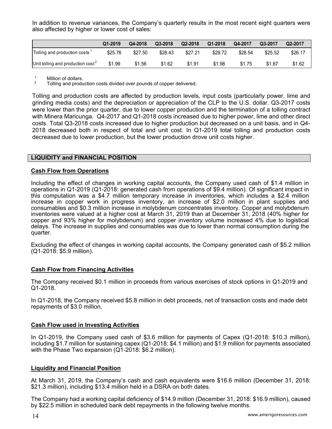In addition to revenue variances, the Company's quarterly results in the most recent eight quarters were also affected by higher or lower cost of sales:

|                                      | Q1-2019 | Q4-2018 | Q3-2018 | Q2-2018 | Q1-2018 | Q4-2017 | Q3-2017 | Q2-2017 |
|--------------------------------------|---------|---------|---------|---------|---------|---------|---------|---------|
| Tolling and production costs         | \$25.76 | \$27.50 | \$28.43 | \$27.21 | \$28.72 | \$28.54 | \$25.52 | \$26.17 |
| Unit tolling and production $cost^2$ | \$1.99  | \$1.56  | \$1.62  | \$1.91  | \$1.98  | \$1.75  | \$1.67  | \$1.62  |

 $\frac{1}{2}$  Million of dollars.

2 Tolling and production costs divided over pounds of copper delivered.

Tolling and production costs are affected by production levels, input costs (particularly power, lime and grinding media costs) and the depreciation or appreciation of the CLP to the U.S. dollar. Q3-2017 costs were lower than the prior quarter, due to lower copper production and the termination of a tolling contract with Minera Maricunga. Q4-2017 and Q1-2018 costs increased due to higher power, lime and other direct costs. Total Q3-2018 costs increased due to higher production but decreased on a unit basis, and in Q4- 2018 decreased both in respect of total and unit cost. In Q1-2019 total tolling and production costs decreased due to lower production, but the lower production drove unit costs higher.

## **LIQUIDITY and FINANCIAL POSITION**

## **Cash Flow from Operations**

Including the effect of changes in working capital accounts, the Company used cash of \$1.4 million in operations in Q1-2019 (Q1-2018: generated cash from operations of \$9.4 million). Of significant impact in this computation was a \$4.7 million temporary increase in inventories, which includes a \$2.4 million increase in copper work in progress inventory, an increase of \$2.0 million in plant supplies and consumables and \$0.3 million increase in molybdenum concentrates inventory. Copper and molybdenum inventories were valued at a higher cost at March 31, 2019 than at December 31, 2018 (40% higher for copper and 93% higher for molybdenum) and copper inventory volume increased 4% due to logistical delays. The increase in supplies and consumables was due to lower than normal consumption during the quarter.

Excluding the effect of changes in working capital accounts, the Company generated cash of \$5.2 million (Q1-2018: \$5.9 million).

### **Cash Flow from Financing Activities**

The Company received \$0.1 million in proceeds from various exercises of stock options in Q1-2019 and Q1-2018.

In Q1-2018, the Company received \$5.8 million in debt proceeds, net of transaction costs and made debt repayments of \$3.0 million.

### **Cash Flow used in Investing Activities**

In Q1-2019, the Company used cash of \$3.6 million for payments of Capex (Q1-2018: \$10.3 million), including \$1.7 million for sustaining capex (Q1-2018: \$4.1 million) and \$1.9 million for payments associated with the Phase Two expansion (Q1-2018: \$6.2 million).

# **Liquidity and Financial Position**

At March 31, 2019, the Company's cash and cash equivalents were \$16.6 million (December 31, 2018: \$21.3 million), including \$13.4 million held in a DSRA on both dates.

The Company had a working capital deficiency of \$14.9 million (December 31, 2018: \$16.9 million), caused by \$22.5 million in scheduled bank debt repayments in the following twelve months.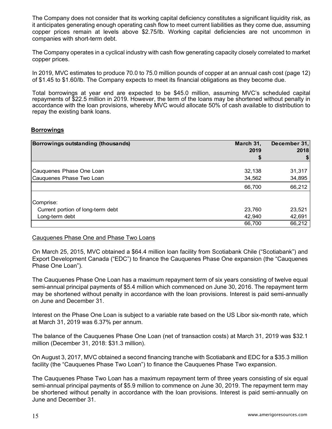The Company does not consider that its working capital deficiency constitutes a significant liquidity risk, as it anticipates generating enough operating cash flow to meet current liabilities as they come due, assuming copper prices remain at levels above \$2.75/lb. Working capital deficiencies are not uncommon in companies with short-term debt.

The Company operates in a cyclical industry with cash flow generating capacity closely correlated to market copper prices.

In 2019, MVC estimates to produce 70.0 to 75.0 million pounds of copper at an annual cash cost (page 12) of \$1.45 to \$1.60/lb. The Company expects to meet its financial obligations as they become due.

Total borrowings at year end are expected to be \$45.0 million, assuming MVC's scheduled capital repayments of \$22.5 million in 2019. However, the term of the loans may be shortened without penalty in accordance with the loan provisions, whereby MVC would allocate 50% of cash available to distribution to repay the existing bank loans.

# **Borrowings**

| Borrowings outstanding (thousands) | March 31, | December 31, |  |
|------------------------------------|-----------|--------------|--|
|                                    | 2019      | 2018         |  |
|                                    |           | \$           |  |
| Cauquenes Phase One Loan           | 32,138    | 31,317       |  |
| Cauquenes Phase Two Loan           | 34,562    | 34,895       |  |
|                                    | 66,700    | 66,212       |  |
| Comprise:                          |           |              |  |
| Current portion of long-term debt  | 23,760    | 23,521       |  |
| Long-term debt                     | 42,940    | 42,691       |  |
|                                    | 66,700    | 66,212       |  |

### Cauquenes Phase One and Phase Two Loans

On March 25, 2015, MVC obtained a \$64.4 million loan facility from Scotiabank Chile ("Scotiabank") and Export Development Canada ("EDC") to finance the Cauquenes Phase One expansion (the "Cauquenes Phase One Loan").

The Cauquenes Phase One Loan has a maximum repayment term of six years consisting of twelve equal semi-annual principal payments of \$5.4 million which commenced on June 30, 2016. The repayment term may be shortened without penalty in accordance with the loan provisions. Interest is paid semi-annually on June and December 31.

Interest on the Phase One Loan is subject to a variable rate based on the US Libor six-month rate, which at March 31, 2019 was 6.37% per annum.

The balance of the Cauquenes Phase One Loan (net of transaction costs) at March 31, 2019 was \$32.1 million (December 31, 2018: \$31.3 million).

On August 3, 2017, MVC obtained a second financing tranche with Scotiabank and EDC for a \$35.3 million facility (the "Cauquenes Phase Two Loan") to finance the Cauquenes Phase Two expansion.

 The Cauquenes Phase Two Loan has a maximum repayment term of three years consisting of six equal semi-annual principal payments of \$5.9 million to commence on June 30, 2019. The repayment term may be shortened without penalty in accordance with the loan provisions. Interest is paid semi-annually on June and December 31.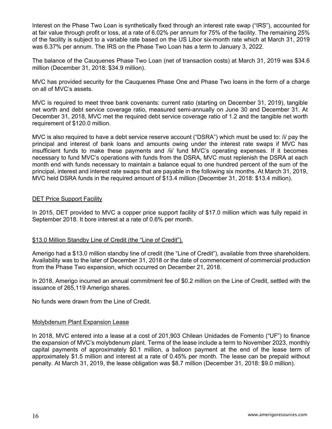Interest on the Phase Two Loan is synthetically fixed through an interest rate swap ("IRS"), accounted for at fair value through profit or loss, at a rate of 6.02% per annum for 75% of the facility. The remaining 25% of the facility is subject to a variable rate based on the US Libor six-month rate which at March 31, 2019 was 6.37% per annum. The IRS on the Phase Two Loan has a term to January 3, 2022.

 The balance of the Cauquenes Phase Two Loan (net of transaction costs) at March 31, 2019 was \$34.6 million (December 31, 2018: \$34.9 million).

 MVC has provided security for the Cauquenes Phase One and Phase Two loans in the form of a charge on all of MVC's assets.

MVC is required to meet three bank covenants: current ratio (starting on December 31, 2019), tangible net worth and debt service coverage ratio, measured semi-annually on June 30 and December 31. At December 31, 2018, MVC met the required debt service coverage ratio of 1.2 and the tangible net worth requirement of \$120.0 million.

MVC is also required to have a debt service reserve account ("DSRA") which must be used to: /i/ pay the principal and interest of bank loans and amounts owing under the interest rate swaps if MVC has insufficient funds to make these payments and /ii/ fund MVC's operating expenses. If it becomes necessary to fund MVC's operations with funds from the DSRA, MVC must replenish the DSRA at each month end with funds necessary to maintain a balance equal to one hundred percent of the sum of the principal, interest and interest rate swaps that are payable in the following six months. At March 31, 2019, MVC held DSRA funds in the required amount of \$13.4 million (December 31, 2018: \$13.4 million).

# DET Price Support Facility

In 2015, DET provided to MVC a copper price support facility of \$17.0 million which was fully repaid in September 2018. It bore interest at a rate of 0.6% per month.

# \$13.0 Million Standby Line of Credit (the "Line of Credit").

Amerigo had a \$13.0 million standby line of credit (the "Line of Credit"), available from three shareholders. Availability was to the later of December 31, 2018 or the date of commencement of commercial production from the Phase Two expansion, which occurred on December 21, 2018.

In 2018, Amerigo incurred an annual commitment fee of \$0.2 million on the Line of Credit, settled with the issuance of 265,119 Amerigo shares.

No funds were drawn from the Line of Credit.

### Molybdenum Plant Expansion Lease

In 2018, MVC entered into a lease at a cost of 201,903 Chilean Unidades de Fomento ("UF") to finance the expansion of MVC's molybdenum plant. Terms of the lease include a term to November 2023, monthly capital payments of approximately \$0.1 million, a balloon payment at the end of the lease term of approximately \$1.5 million and interest at a rate of 0.45% per month. The lease can be prepaid without penalty. At March 31, 2019, the lease obligation was \$8.7 million (December 31, 2018: \$9.0 million).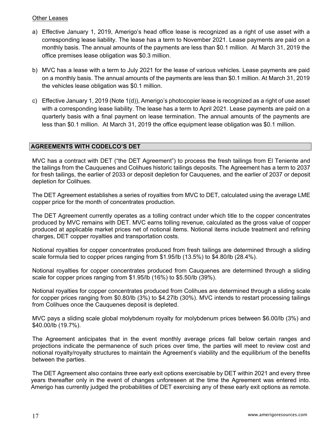## Other Leases

- a) Effective January 1, 2019, Amerigo's head office lease is recognized as a right of use asset with a corresponding lease liability. The lease has a term to November 2021. Lease payments are paid on a monthly basis. The annual amounts of the payments are less than \$0.1 million. At March 31, 2019 the office premises lease obligation was \$0.3 million.
- b) MVC has a lease with a term to July 2021 for the lease of various vehicles. Lease payments are paid on a monthly basis. The annual amounts of the payments are less than \$0.1 million. At March 31, 2019 the vehicles lease obligation was \$0.1 million.
- c) Effective January 1, 2019 (Note 1(d)), Amerigo's photocopier lease is recognized as a right of use asset with a corresponding lease liability. The lease has a term to April 2021. Lease payments are paid on a quarterly basis with a final payment on lease termination. The annual amounts of the payments are less than \$0.1 million. At March 31, 2019 the office equipment lease obligation was \$0.1 million.

# **AGREEMENTS WITH CODELCO'S DET**

MVC has a contract with DET ("the DET Agreement") to process the fresh tailings from El Teniente and the tailings from the Cauquenes and Colihues historic tailings deposits. The Agreement has a term to 2037 for fresh tailings, the earlier of 2033 or deposit depletion for Cauquenes, and the earlier of 2037 or deposit depletion for Colihues.

The DET Agreement establishes a series of royalties from MVC to DET, calculated using the average LME copper price for the month of concentrates production.

The DET Agreement currently operates as a tolling contract under which title to the copper concentrates produced by MVC remains with DET. MVC earns tolling revenue, calculated as the gross value of copper produced at applicable market prices net of notional items. Notional items include treatment and refining charges, DET copper royalties and transportation costs.

Notional royalties for copper concentrates produced from fresh tailings are determined through a sliding scale formula tied to copper prices ranging from \$1.95/lb (13.5%) to \$4.80/lb (28.4%).

Notional royalties for copper concentrates produced from Cauquenes are determined through a sliding scale for copper prices ranging from \$1.95/lb (16%) to \$5.50/lb (39%).

Notional royalties for copper concentrates produced from Colihues are determined through a sliding scale for copper prices ranging from \$0.80/lb (3%) to \$4.27lb (30%). MVC intends to restart processing tailings from Colihues once the Cauquenes deposit is depleted.

MVC pays a sliding scale global molybdenum royalty for molybdenum prices between \$6.00/lb (3%) and \$40.00/lb (19.7%).

The Agreement anticipates that in the event monthly average prices fall below certain ranges and projections indicate the permanence of such prices over time, the parties will meet to review cost and notional royalty/royalty structures to maintain the Agreement's viability and the equilibrium of the benefits between the parties.

The DET Agreement also contains three early exit options exercisable by DET within 2021 and every three years thereafter only in the event of changes unforeseen at the time the Agreement was entered into. Amerigo has currently judged the probabilities of DET exercising any of these early exit options as remote.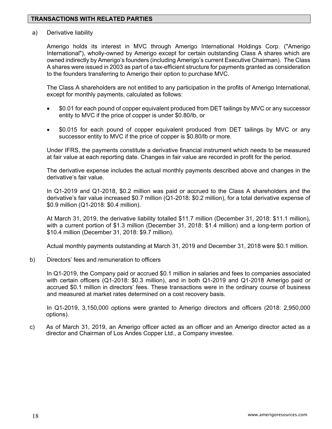### a) Derivative liability

Amerigo holds its interest in MVC through Amerigo International Holdings Corp. ("Amerigo International"), wholly-owned by Amerigo except for certain outstanding Class A shares which are owned indirectly by Amerigo's founders (including Amerigo's current Executive Chairman). The Class A shares were issued in 2003 as part of a tax-efficient structure for payments granted as consideration to the founders transferring to Amerigo their option to purchase MVC.

The Class A shareholders are not entitled to any participation in the profits of Amerigo International, except for monthly payments, calculated as follows:

- \$0.01 for each pound of copper equivalent produced from DET tailings by MVC or any successor entity to MVC if the price of copper is under \$0.80/lb, or
- \$0.015 for each pound of copper equivalent produced from DET tailings by MVC or any successor entity to MVC if the price of copper is \$0.80/lb or more.

Under IFRS, the payments constitute a derivative financial instrument which needs to be measured at fair value at each reporting date. Changes in fair value are recorded in profit for the period.

The derivative expense includes the actual monthly payments described above and changes in the derivative's fair value.

In Q1-2019 and Q1-2018, \$0.2 million was paid or accrued to the Class A shareholders and the derivative's fair value increased \$0.7 million (Q1-2018: \$0.2 million), for a total derivative expense of \$0.9 million (Q1-2018: \$0.4 million).

At March 31, 2019, the derivative liability totalled \$11.7 million (December 31, 2018: \$11.1 million), with a current portion of \$1.3 million (December 31, 2018: \$1.4 million) and a long-term portion of \$10.4 million (December 31, 2018: \$9.7 million).

Actual monthly payments outstanding at March 31, 2019 and December 31, 2018 were \$0.1 million.

. b) Directors' fees and remuneration to officers

> In Q1-2019, the Company paid or accrued \$0.1 million in salaries and fees to companies associated with certain officers (Q1-2018: \$0.3 million), and in both Q1-2019 and Q1-2018 Amerigo paid or accrued \$0.1 million in directors' fees. These transactions were in the ordinary course of business and measured at market rates determined on a cost recovery basis.

> In Q1-2019, 3,150,000 options were granted to Amerigo directors and officers (2018: 2,950,000 options).

c) As of March 31, 2019, an Amerigo officer acted as an officer and an Amerigo director acted as a director and Chairman of Los Andes Copper Ltd., a Company investee.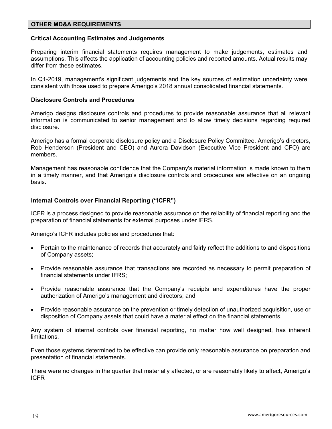## **OTHER MD&A REQUIREMENTS**

### **Critical Accounting Estimates and Judgements**

Preparing interim financial statements requires management to make judgements, estimates and assumptions. This affects the application of accounting policies and reported amounts. Actual results may differ from these estimates.

In Q1-2019, management's significant judgements and the key sources of estimation uncertainty were consistent with those used to prepare Amerigo's 2018 annual consolidated financial statements.

#### **Disclosure Controls and Procedures**

Amerigo designs disclosure controls and procedures to provide reasonable assurance that all relevant information is communicated to senior management and to allow timely decisions regarding required disclosure.

Amerigo has a formal corporate disclosure policy and a Disclosure Policy Committee. Amerigo's directors, Rob Henderson (President and CEO) and Aurora Davidson (Executive Vice President and CFO) are members.

Management has reasonable confidence that the Company's material information is made known to them in a timely manner, and that Amerigo's disclosure controls and procedures are effective on an ongoing basis.

### **Internal Controls over Financial Reporting ("ICFR")**

ICFR is a process designed to provide reasonable assurance on the reliability of financial reporting and the preparation of financial statements for external purposes under IFRS.

Amerigo's ICFR includes policies and procedures that:

- Pertain to the maintenance of records that accurately and fairly reflect the additions to and dispositions of Company assets;
- Provide reasonable assurance that transactions are recorded as necessary to permit preparation of financial statements under IFRS;
- Provide reasonable assurance that the Company's receipts and expenditures have the proper authorization of Amerigo's management and directors; and
- Provide reasonable assurance on the prevention or timely detection of unauthorized acquisition, use or disposition of Company assets that could have a material effect on the financial statements.

Any system of internal controls over financial reporting, no matter how well designed, has inherent limitations.

Even those systems determined to be effective can provide only reasonable assurance on preparation and presentation of financial statements.

There were no changes in the quarter that materially affected, or are reasonably likely to affect, Amerigo's ICFR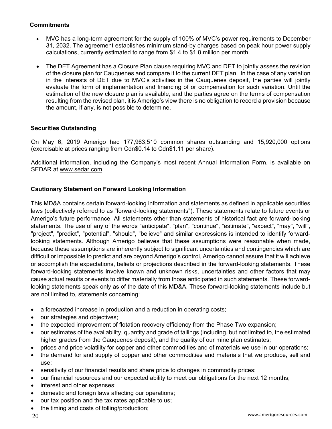# **Commitments**

- MVC has a long-term agreement for the supply of 100% of MVC's power requirements to December 31, 2032. The agreement establishes minimum stand-by charges based on peak hour power supply calculations, currently estimated to range from \$1.4 to \$1.8 million per month.
- The DET Agreement has a Closure Plan clause requiring MVC and DET to jointly assess the revision of the closure plan for Cauquenes and compare it to the current DET plan. In the case of any variation in the interests of DET due to MVC's activities in the Cauquenes deposit, the parties will jointly evaluate the form of implementation and financing of or compensation for such variation. Until the estimation of the new closure plan is available, and the parties agree on the terms of compensation resulting from the revised plan, it is Amerigo's view there is no obligation to record a provision because the amount, if any, is not possible to determine.

# **Securities Outstanding**

On May 6, 2019 Amerigo had 177,963,510 common shares outstanding and 15,920,000 options (exercisable at prices ranging from Cdn\$0.14 to Cdn\$1.11 per share).

Additional information, including the Company's most recent Annual Information Form, is available on SEDAR at www.sedar.com.

# **Cautionary Statement on Forward Looking Information**

This MD&A contains certain forward-looking information and statements as defined in applicable securities laws (collectively referred to as "forward-looking statements"). These statements relate to future events or Amerigo's future performance. All statements other than statements of historical fact are forward-looking statements. The use of any of the words "anticipate", "plan", "continue", "estimate", "expect", "may", "will", "project", "predict", "potential", "should", "believe" and similar expressions is intended to identify forwardlooking statements. Although Amerigo believes that these assumptions were reasonable when made, because these assumptions are inherently subject to significant uncertainties and contingencies which are difficult or impossible to predict and are beyond Amerigo's control, Amerigo cannot assure that it will achieve or accomplish the expectations, beliefs or projections described in the forward-looking statements. These forward-looking statements involve known and unknown risks, uncertainties and other factors that may cause actual results or events to differ materially from those anticipated in such statements. These forwardlooking statements speak only as of the date of this MD&A. These forward-looking statements include but are not limited to, statements concerning:

- a forecasted increase in production and a reduction in operating costs;
- our strategies and objectives;
- the expected improvement of flotation recovery efficiency from the Phase Two expansion;
- our estimates of the availability, quantity and grade of tailings (including, but not limited to, the estimated higher grades from the Cauquenes deposit), and the quality of our mine plan estimates;
- prices and price volatility for copper and other commodities and of materials we use in our operations;
- the demand for and supply of copper and other commodities and materials that we produce, sell and use;
- sensitivity of our financial results and share price to changes in commodity prices;
- our financial resources and our expected ability to meet our obligations for the next 12 months;
- interest and other expenses;
- domestic and foreign laws affecting our operations;
- our tax position and the tax rates applicable to us;
- the timing and costs of tolling/production;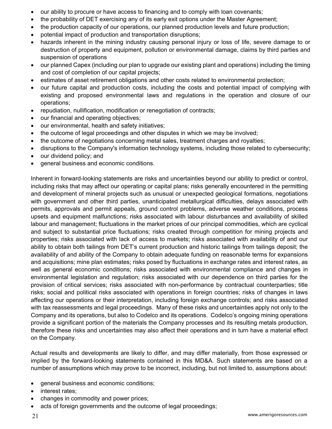- our ability to procure or have access to financing and to comply with loan covenants;
- the probability of DET exercising any of its early exit options under the Master Agreement;
- the production capacity of our operations, our planned production levels and future production;
- potential impact of production and transportation disruptions;
- hazards inherent in the mining industry causing personal injury or loss of life, severe damage to or destruction of property and equipment, pollution or environmental damage, claims by third parties and suspension of operations
- our planned Capex (including our plan to upgrade our existing plant and operations) including the timing and cost of completion of our capital projects;
- estimates of asset retirement obligations and other costs related to environmental protection;
- our future capital and production costs, including the costs and potential impact of complying with existing and proposed environmental laws and regulations in the operation and closure of our operations;
- repudiation, nullification, modification or renegotiation of contracts;
- our financial and operating objectives;
- our environmental, health and safety initiatives;
- the outcome of legal proceedings and other disputes in which we may be involved;
- the outcome of negotiations concerning metal sales, treatment charges and royalties;
- disruptions to the Company's information technology systems, including those related to cybersecurity;
- our dividend policy; and
- general business and economic conditions.

Inherent in forward-looking statements are risks and uncertainties beyond our ability to predict or control, including risks that may affect our operating or capital plans; risks generally encountered in the permitting and development of mineral projects such as unusual or unexpected geological formations, negotiations with government and other third parties, unanticipated metallurgical difficulties, delays associated with permits, approvals and permit appeals, ground control problems, adverse weather conditions, process upsets and equipment malfunctions; risks associated with labour disturbances and availability of skilled labour and management; fluctuations in the market prices of our principal commodities, which are cyclical and subject to substantial price fluctuations; risks created through competition for mining projects and properties; risks associated with lack of access to markets; risks associated with availability of and our ability to obtain both tailings from DET's current production and historic tailings from tailings deposit; the availability of and ability of the Company to obtain adequate funding on reasonable terms for expansions and acquisitions; mine plan estimates; risks posed by fluctuations in exchange rates and interest rates, as well as general economic conditions; risks associated with environmental compliance and changes in environmental legislation and regulation; risks associated with our dependence on third parties for the provision of critical services; risks associated with non-performance by contractual counterparties; title risks; social and political risks associated with operations in foreign countries; risks of changes in laws affecting our operations or their interpretation, including foreign exchange controls; and risks associated with tax reassessments and legal proceedings. Many of these risks and uncertainties apply not only to the Company and its operations, but also to Codelco and its operations. Codelco's ongoing mining operations provide a significant portion of the materials the Company processes and its resulting metals production, therefore these risks and uncertainties may also affect their operations and in turn have a material effect on the Company.

Actual results and developments are likely to differ, and may differ materially, from those expressed or implied by the forward-looking statements contained in this MD&A. Such statements are based on a number of assumptions which may prove to be incorrect, including, but not limited to, assumptions about:

- general business and economic conditions;
- interest rates;
- changes in commodity and power prices;
- acts of foreign governments and the outcome of legal proceedings;